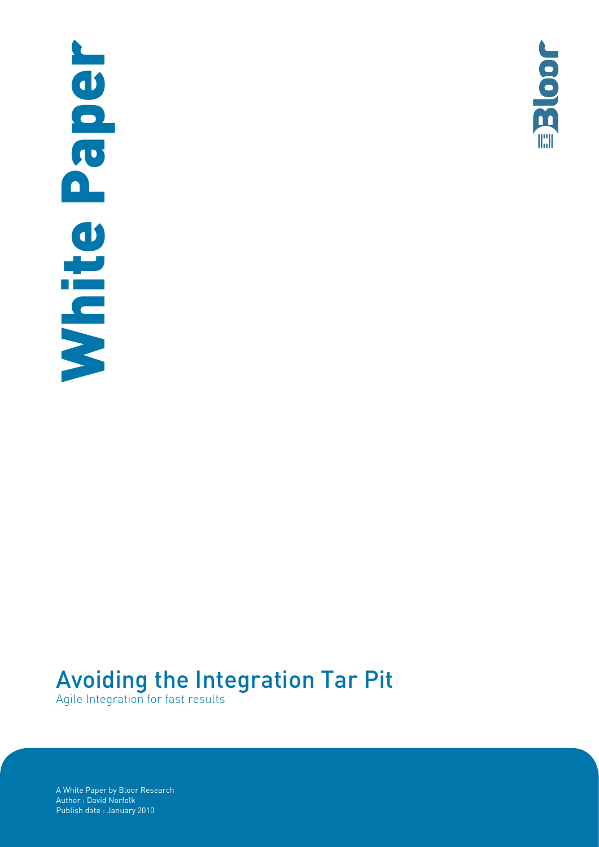# Peper **Publish date : January 2010**<br>Agile Integration for Assembly Bloor Reserved Supplementary 2010<br>Author : David Norfolk Mhite



# Avoiding the Integration Tar Pit

Agile Integration for fast results

A White Paper by Bloor Research Author : David Norfolk<br>Publish date : January 2010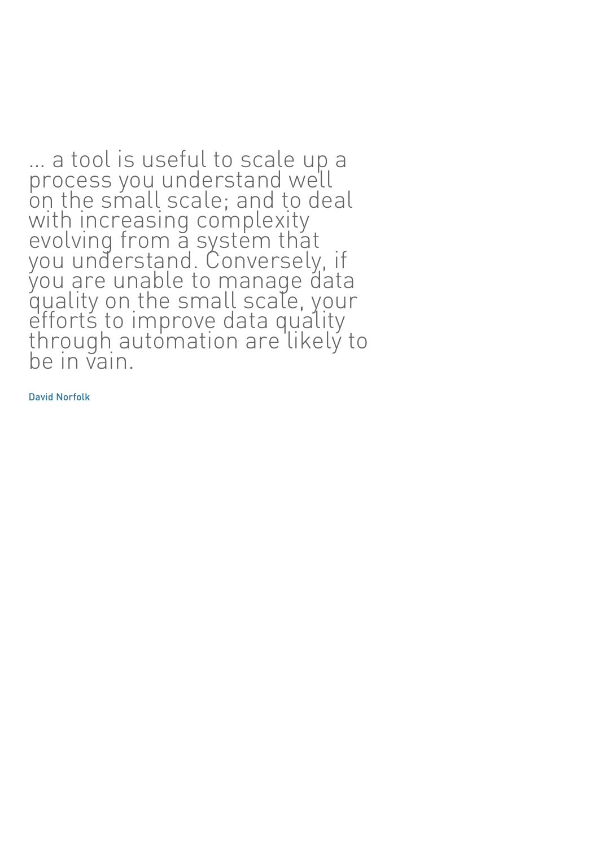… a tool is useful to scale up a process you understand well on the small scale; and to deal with increasing complexity evolving from a system that you understand. Conversely, if you are unable to manage data quality on the small scale, your efforts to improve data quality through automation are likely to be in vain.

David Norfolk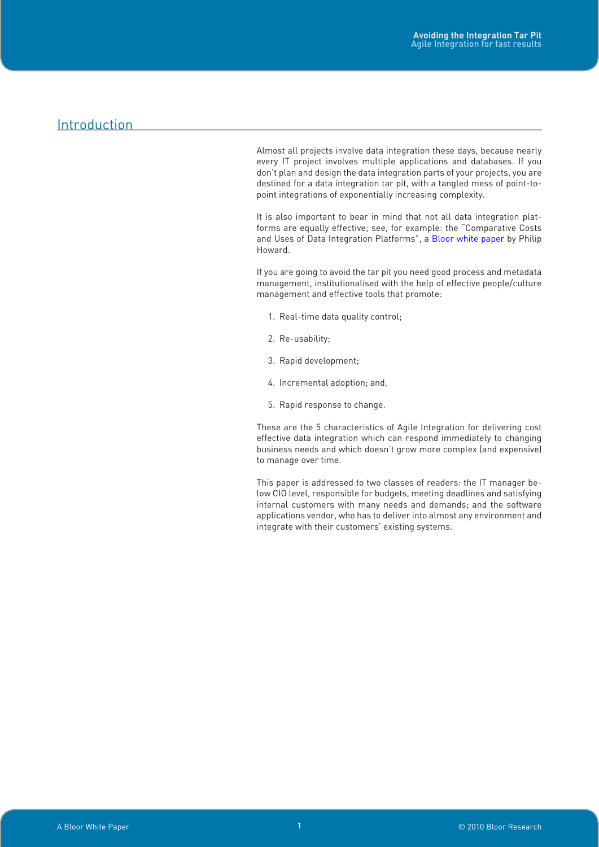# Introduction

Almost all projects involve data integration these days, because nearly every IT project involves multiple applications and databases. If you don't plan and design the data integration parts of your projects, you are destined for a data integration tar pit, with a tangled mess of point-topoint integrations of exponentially increasing complexity.

It is also important to bear in mind that not all data integration platforms are equally effective; see, for example: the "Comparative Costs and Uses of Data Integration Platforms", a [Bloor white paper](http://www.pervasiveintegration.com/dcontent/Collateral/bloor_data_integration_platformscomparison.pdf) by Philip Howard.

If you are going to avoid the tar pit you need good process and metadata management, institutionalised with the help of effective people/culture management and effective tools that promote:

- 1. Real-time data quality control;
- 2. Re-usability;
- 3. Rapid development;
- 4. Incremental adoption; and,
- 5. Rapid response to change.

These are the 5 characteristics of Agile Integration for delivering cost effective data integration which can respond immediately to changing business needs and which doesn't grow more complex (and expensive) to manage over time.

This paper is addressed to two classes of readers: the IT manager below CIO level, responsible for budgets, meeting deadlines and satisfying internal customers with many needs and demands; and the software applications vendor, who has to deliver into almost any environment and integrate with their customers' existing systems.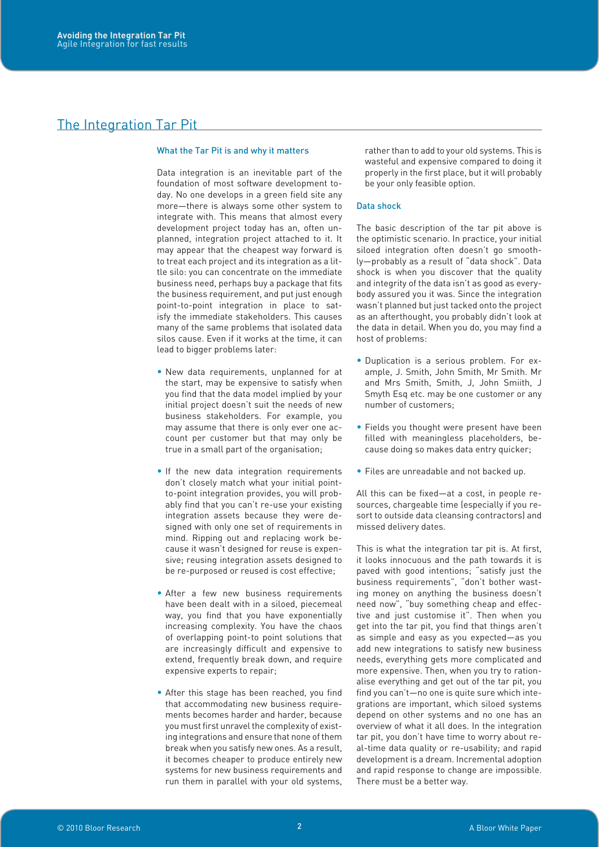# The Integration Tar Pit

### What the Tar Pit is and why it matters

Data integration is an inevitable part of the foundation of most software development today. No one develops in a green field site any more—there is always some other system to integrate with. This means that almost every development project today has an, often unplanned, integration project attached to it. It may appear that the cheapest way forward is to treat each project and its integration as a little silo: you can concentrate on the immediate business need, perhaps buy a package that fits the business requirement, and put just enough point-to-point integration in place to satisfy the immediate stakeholders. This causes many of the same problems that isolated data silos cause. Even if it works at the time, it can lead to bigger problems later:

- New data requirements, unplanned for at the start, may be expensive to satisfy when you find that the data model implied by your initial project doesn't suit the needs of new business stakeholders. For example, you may assume that there is only ever one account per customer but that may only be true in a small part of the organisation;
- If the new data integration requirements don't closely match what your initial pointto-point integration provides, you will probably find that you can't re-use your existing integration assets because they were designed with only one set of requirements in mind. Ripping out and replacing work because it wasn't designed for reuse is expensive; reusing integration assets designed to be re-purposed or reused is cost effective;
- After a few new business requirements have been dealt with in a siloed, piecemeal way, you find that you have exponentially increasing complexity. You have the chaos of overlapping point-to point solutions that are increasingly difficult and expensive to extend, frequently break down, and require expensive experts to repair;
- After this stage has been reached, you find that accommodating new business requirements becomes harder and harder, because you must first unravel the complexity of existing integrations and ensure that none of them break when you satisfy new ones. As a result, it becomes cheaper to produce entirely new systems for new business requirements and run them in parallel with your old systems,

rather than to add to your old systems. This is wasteful and expensive compared to doing it properly in the first place, but it will probably be your only feasible option.

### Data shock

The basic description of the tar pit above is the optimistic scenario. In practice, your initial siloed integration often doesn't go smoothly—probably as a result of "data shock". Data shock is when you discover that the quality and integrity of the data isn't as good as everybody assured you it was. Since the integration wasn't planned but just tacked onto the project as an afterthought, you probably didn't look at the data in detail. When you do, you may find a host of problems:

- Duplication is a serious problem. For example, J. Smith, John Smith, Mr Smith. Mr and Mrs Smith, Smith, J, John Smiith, J Smyth Esq etc. may be one customer or any number of customers;
- Fields you thought were present have been filled with meaningless placeholders, because doing so makes data entry quicker;
- Files are unreadable and not backed up.

All this can be fixed—at a cost, in people resources, chargeable time (especially if you resort to outside data cleansing contractors) and missed delivery dates.

This is what the integration tar pit is. At first, it looks innocuous and the path towards it is paved with good intentions; "satisfy just the business requirements", "don't bother wasting money on anything the business doesn't need now", "buy something cheap and effective and just customise it". Then when you get into the tar pit, you find that things aren't as simple and easy as you expected—as you add new integrations to satisfy new business needs, everything gets more complicated and more expensive. Then, when you try to rationalise everything and get out of the tar pit, you find you can't—no one is quite sure which integrations are important, which siloed systems depend on other systems and no one has an overview of what it all does. In the integration tar pit, you don't have time to worry about real-time data quality or re-usability; and rapid development is a dream. Incremental adoption and rapid response to change are impossible. There must be a better way.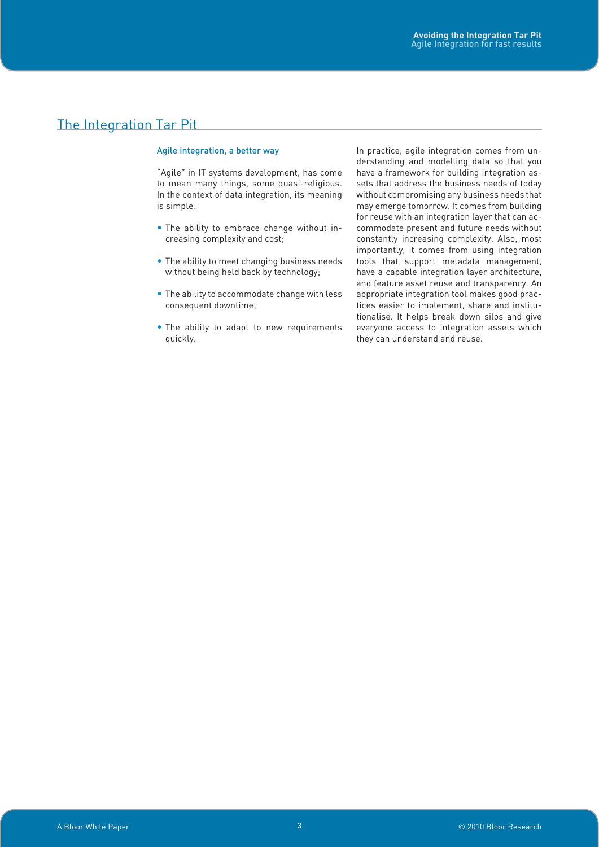# The Integration Tar Pit

### Agile integration, a better way

"Agile" in IT systems development, has come to mean many things, some quasi-religious. In the context of data integration, its meaning is simple:

- The ability to embrace change without increasing complexity and cost;
- The ability to meet changing business needs without being held back by technology;
- The ability to accommodate change with less consequent downtime;
- The ability to adapt to new requirements quickly.

In practice, agile integration comes from understanding and modelling data so that you have a framework for building integration assets that address the business needs of today without compromising any business needs that may emerge tomorrow. It comes from building for reuse with an integration layer that can accommodate present and future needs without constantly increasing complexity. Also, most importantly, it comes from using integration tools that support metadata management, have a capable integration layer architecture, and feature asset reuse and transparency. An appropriate integration tool makes good practices easier to implement, share and institutionalise. It helps break down silos and give everyone access to integration assets which they can understand and reuse.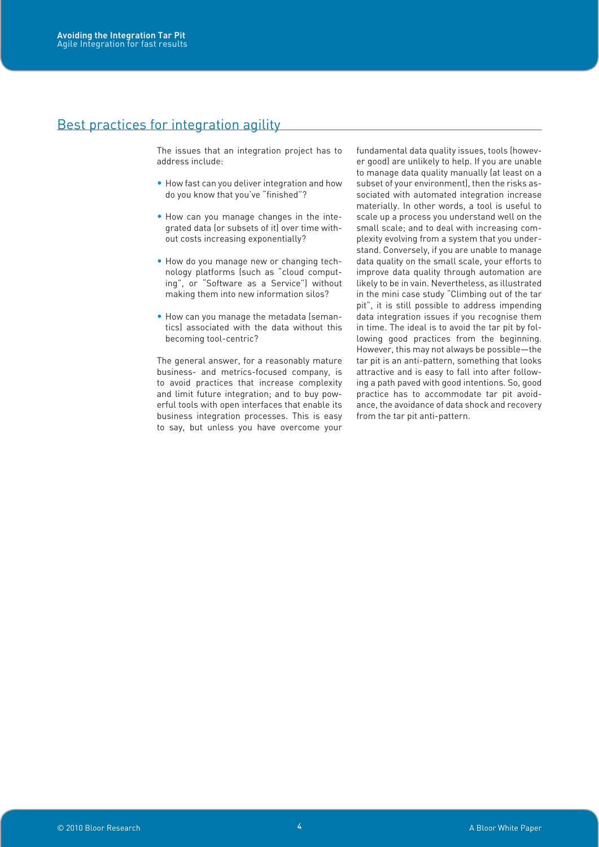# Best practices for integration agility

The issues that an integration project has to address include:

- How fast can you deliver integration and how do you know that you've "finished"?
- How can you manage changes in the integrated data (or subsets of it) over time without costs increasing exponentially?
- How do you manage new or changing technology platforms (such as "cloud computing", or "Software as a Service") without making them into new information silos?
- How can you manage the metadata (semantics) associated with the data without this becoming tool-centric?

The general answer, for a reasonably mature business- and metrics-focused company, is to avoid practices that increase complexity and limit future integration; and to buy powerful tools with open interfaces that enable its business integration processes. This is easy to say, but unless you have overcome your

fundamental data quality issues, tools (however good) are unlikely to help. If you are unable to manage data quality manually (at least on a subset of your environment), then the risks associated with automated integration increase materially. In other words, a tool is useful to scale up a process you understand well on the small scale; and to deal with increasing complexity evolving from a system that you understand. Conversely, if you are unable to manage data quality on the small scale, your efforts to improve data quality through automation are likely to be in vain. Nevertheless, as illustrated in the mini case study "Climbing out of the tar pit", it is still possible to address impending data integration issues if you recognise them in time. The ideal is to avoid the tar pit by following good practices from the beginning. However, this may not always be possible—the tar pit is an anti-pattern, something that looks attractive and is easy to fall into after following a path paved with good intentions. So, good practice has to accommodate tar pit avoidance, the avoidance of data shock and recovery from the tar pit anti-pattern.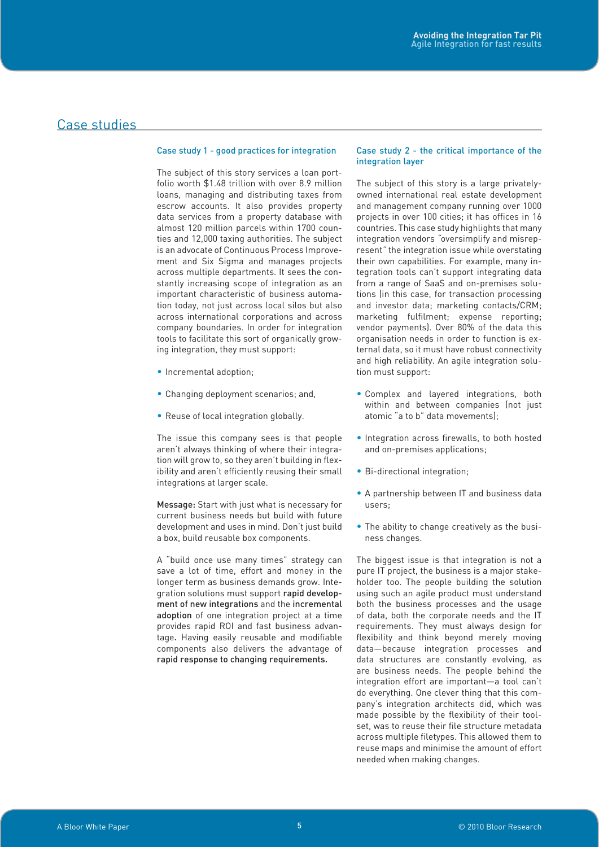# Case studies

### Case study 1 - good practices for integration

The subject of this story services a loan portfolio worth \$1.48 trillion with over 8.9 million loans, managing and distributing taxes from escrow accounts. It also provides property data services from a property database with almost 120 million parcels within 1700 counties and 12,000 taxing authorities. The subject is an advocate of Continuous Process Improvement and Six Sigma and manages projects across multiple departments. It sees the constantly increasing scope of integration as an important characteristic of business automation today, not just across local silos but also across international corporations and across company boundaries. In order for integration tools to facilitate this sort of organically growing integration, they must support:

- Incremental adoption;
- Changing deployment scenarios; and,
- Reuse of local integration globally.

The issue this company sees is that people aren't always thinking of where their integration will grow to, so they aren't building in flexibility and aren't efficiently reusing their small integrations at larger scale.

Message: Start with just what is necessary for current business needs but build with future development and uses in mind. Don't just build a box, build reusable box components.

A "build once use many times" strategy can save a lot of time, effort and money in the longer term as business demands grow. Integration solutions must support rapid development of new integrations and the incremental adoption of one integration project at a time provides rapid ROI and fast business advantage. Having easily reusable and modifiable components also delivers the advantage of rapid response to changing requirements.

### Case study 2 - the critical importance of the integration layer

The subject of this story is a large privatelyowned international real estate development and management company running over 1000 projects in over 100 cities; it has offices in 16 countries. This case study highlights that many integration vendors *"*oversimplify and misrepresent*"* the integration issue while overstating their own capabilities. For example, many integration tools can't support integrating data from a range of SaaS and on-premises solutions (in this case, for transaction processing and investor data; marketing contacts/CRM; marketing fulfilment; expense reporting; vendor payments). Over 80% of the data this organisation needs in order to function is external data, so it must have robust connectivity and high reliability. An agile integration solution must support:

- Complex and layered integrations, both within and between companies (not just atomic "a to b" data movements);
- Integration across firewalls, to both hosted and on-premises applications;
- Bi-directional integration;
- A partnership between IT and business data users;
- The ability to change creatively as the business changes.

The biggest issue is that integration is not a pure IT project, the business is a major stakeholder too. The people building the solution using such an agile product must understand both the business processes and the usage of data, both the corporate needs and the IT requirements. They must always design for flexibility and think beyond merely moving data—because integration processes and data structures are constantly evolving, as are business needs. The people behind the integration effort are important—a tool can't do everything. One clever thing that this company's integration architects did, which was made possible by the flexibility of their toolset, was to reuse their file structure metadata across multiple filetypes. This allowed them to reuse maps and minimise the amount of effort needed when making changes.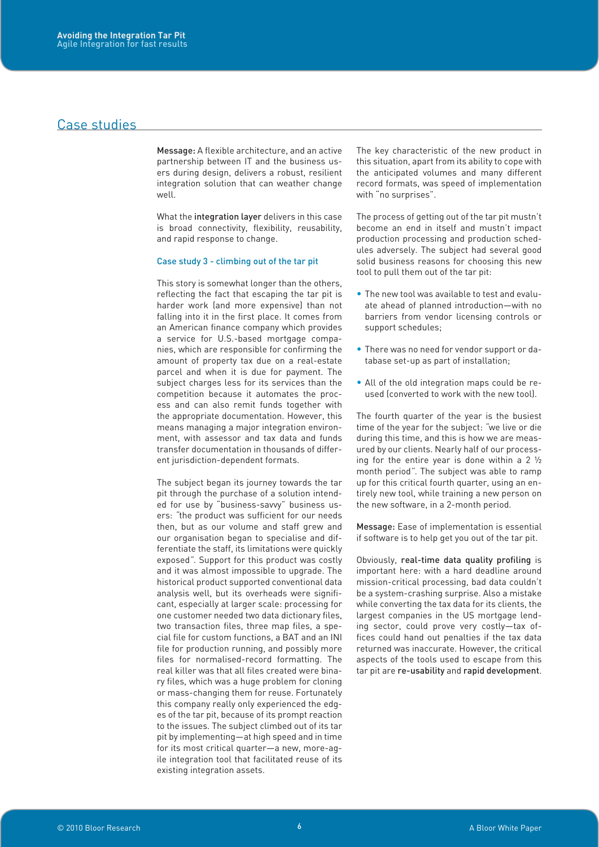# Case studies

Message: A flexible architecture, and an active partnership between IT and the business users during design, delivers a robust, resilient integration solution that can weather change well.

What the integration layer delivers in this case is broad connectivity, flexibility, reusability, and rapid response to change.

### Case study 3 - climbing out of the tar pit

This story is somewhat longer than the others, reflecting the fact that escaping the tar pit is harder work (and more expensive) than not falling into it in the first place. It comes from an American finance company which provides a service for U.S.-based mortgage companies, which are responsible for confirming the amount of property tax due on a real-estate parcel and when it is due for payment. The subject charges less for its services than the competition because it automates the process and can also remit funds together with the appropriate documentation. However, this means managing a major integration environment, with assessor and tax data and funds transfer documentation in thousands of different jurisdiction-dependent formats.

The subject began its journey towards the tar pit through the purchase of a solution intended for use by "business-savvy" business users: *"*the product was sufficient for our needs then, but as our volume and staff grew and our organisation began to specialise and differentiate the staff, its limitations were quickly exposed*"*. Support for this product was costly and it was almost impossible to upgrade. The historical product supported conventional data analysis well, but its overheads were significant, especially at larger scale: processing for one customer needed two data dictionary files, two transaction files, three map files, a special file for custom functions, a BAT and an INI file for production running, and possibly more files for normalised-record formatting. The real killer was that all files created were binary files, which was a huge problem for cloning or mass-changing them for reuse. Fortunately this company really only experienced the edges of the tar pit, because of its prompt reaction to the issues. The subject climbed out of its tar pit by implementing—at high speed and in time for its most critical quarter—a new, more-agile integration tool that facilitated reuse of its existing integration assets.

The key characteristic of the new product in this situation, apart from its ability to cope with the anticipated volumes and many different record formats, was speed of implementation with "no surprises".

The process of getting out of the tar pit mustn't become an end in itself and mustn't impact production processing and production schedules adversely. The subject had several good solid business reasons for choosing this new tool to pull them out of the tar pit:

- The new tool was available to test and evaluate ahead of planned introduction—with no barriers from vendor licensing controls or support schedules;
- There was no need for vendor support or database set-up as part of installation;
- All of the old integration maps could be reused (converted to work with the new tool).

The fourth quarter of the year is the busiest time of the year for the subject: *"*we live or die during this time, and this is how we are measured by our clients. Nearly half of our processing for the entire year is done within a 2 ½ month period*"*. The subject was able to ramp up for this critical fourth quarter, using an entirely new tool, while training a new person on the new software, in a 2-month period.

Message: Ease of implementation is essential if software is to help get you out of the tar pit.

Obviously, real-time data quality profiling is important here: with a hard deadline around mission-critical processing, bad data couldn't be a system-crashing surprise. Also a mistake while converting the tax data for its clients, the largest companies in the US mortgage lending sector, could prove very costly—tax offices could hand out penalties if the tax data returned was inaccurate. However, the critical aspects of the tools used to escape from this tar pit are re-usability and rapid development.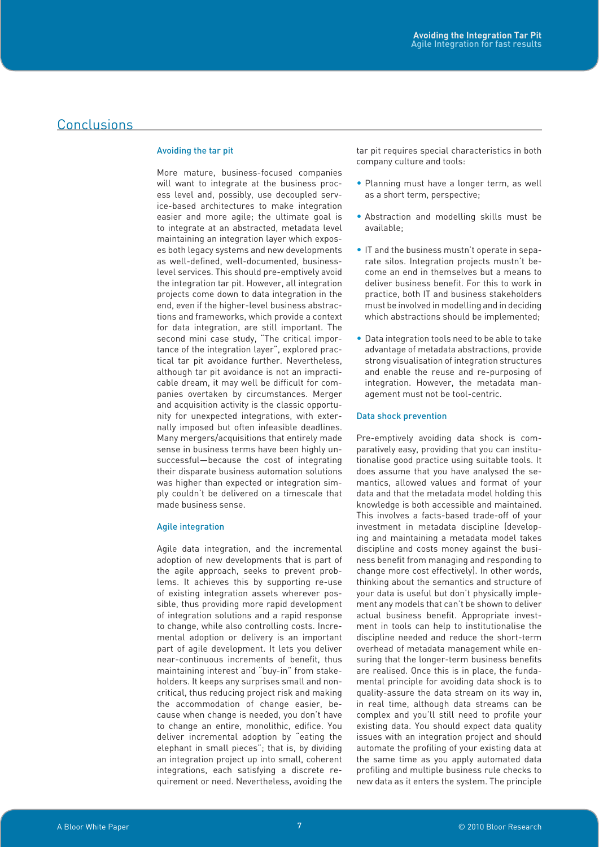# Conclusions

### Avoiding the tar pit

More mature, business-focused companies will want to integrate at the business process level and, possibly, use decoupled service-based architectures to make integration easier and more agile; the ultimate goal is to integrate at an abstracted, metadata level maintaining an integration layer which exposes both legacy systems and new developments as well-defined, well-documented, businesslevel services. This should pre-emptively avoid the integration tar pit. However, all integration projects come down to data integration in the end, even if the higher-level business abstractions and frameworks, which provide a context for data integration, are still important. The second mini case study, "The critical importance of the integration layer", explored practical tar pit avoidance further. Nevertheless, although tar pit avoidance is not an impracticable dream, it may well be difficult for companies overtaken by circumstances. Merger and acquisition activity is the classic opportunity for unexpected integrations, with externally imposed but often infeasible deadlines. Many mergers/acquisitions that entirely made sense in business terms have been highly unsuccessful—because the cost of integrating their disparate business automation solutions was higher than expected or integration simply couldn't be delivered on a timescale that made business sense.

### Agile integration

Agile data integration, and the incremental adoption of new developments that is part of the agile approach, seeks to prevent problems. It achieves this by supporting re-use of existing integration assets wherever possible, thus providing more rapid development of integration solutions and a rapid response to change, while also controlling costs. Incremental adoption or delivery is an important part of agile development. It lets you deliver near-continuous increments of benefit, thus maintaining interest and "buy-in" from stakeholders. It keeps any surprises small and noncritical, thus reducing project risk and making the accommodation of change easier, because when change is needed, you don't have to change an entire, monolithic, edifice. You deliver incremental adoption by "eating the elephant in small pieces"; that is, by dividing an integration project up into small, coherent integrations, each satisfying a discrete requirement or need. Nevertheless, avoiding the

tar pit requires special characteristics in both company culture and tools:

- Planning must have a longer term, as well as a short term, perspective;
- Abstraction and modelling skills must be available;
- IT and the business mustn't operate in separate silos. Integration projects mustn't become an end in themselves but a means to deliver business benefit. For this to work in practice, both IT and business stakeholders must be involved in modelling and in deciding which abstractions should be implemented;
- Data integration tools need to be able to take advantage of metadata abstractions, provide strong visualisation of integration structures and enable the reuse and re-purposing of integration. However, the metadata management must not be tool-centric.

### Data shock prevention

Pre-emptively avoiding data shock is comparatively easy, providing that you can institutionalise good practice using suitable tools. It does assume that you have analysed the semantics, allowed values and format of your data and that the metadata model holding this knowledge is both accessible and maintained. This involves a facts-based trade-off of your investment in metadata discipline (developing and maintaining a metadata model takes discipline and costs money against the business benefit from managing and responding to change more cost effectively). In other words, thinking about the semantics and structure of your data is useful but don't physically implement any models that can't be shown to deliver actual business benefit. Appropriate investment in tools can help to institutionalise the discipline needed and reduce the short-term overhead of metadata management while ensuring that the longer-term business benefits are realised. Once this is in place, the fundamental principle for avoiding data shock is to quality-assure the data stream on its way in, in real time, although data streams can be complex and you'll still need to profile your existing data. You should expect data quality issues with an integration project and should automate the profiling of your existing data at the same time as you apply automated data profiling and multiple business rule checks to new data as it enters the system. The principle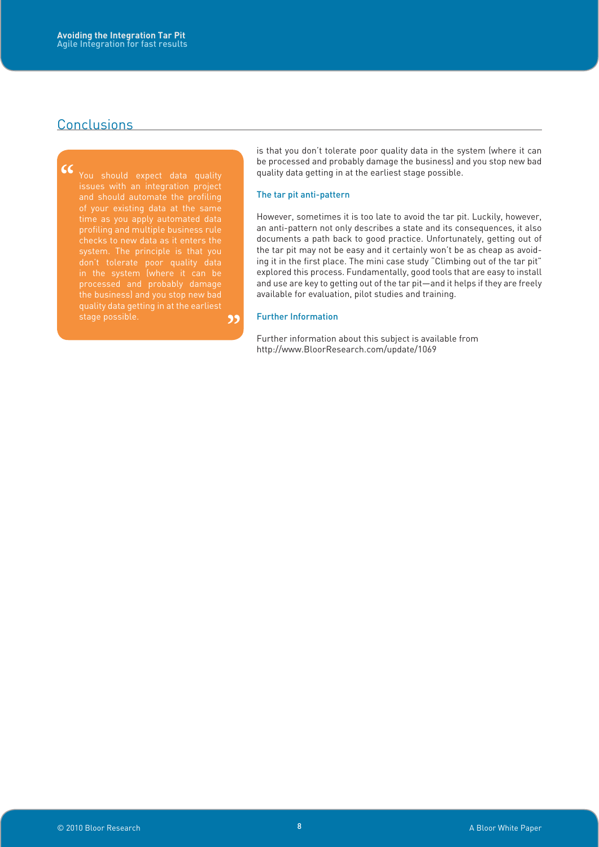# Conclusions

**99 CC**<br>
You should expect data quality<br>
issues with an integration project<br>
and should automate the profiling time as you apply automated data profiling and multiple business rule checks to new data as it enters the system. The principle is that you

is that you don't tolerate poor quality data in the system (where it can be processed and probably damage the business) and you stop new bad quality data getting in at the earliest stage possible.

### The tar pit anti-pattern

However, sometimes it is too late to avoid the tar pit. Luckily, however, an anti-pattern not only describes a state and its consequences, it also documents a path back to good practice. Unfortunately, getting out of the tar pit may not be easy and it certainly won't be as cheap as avoiding it in the first place. The mini case study "Climbing out of the tar pit" explored this process. Fundamentally, good tools that are easy to install and use are key to getting out of the tar pit—and it helps if they are freely available for evaluation, pilot studies and training.

### Further Information

Further information about this subject is available from [http://www.BloorResearch.com/update/](http://www.BloorResearch.com/update/1069)1069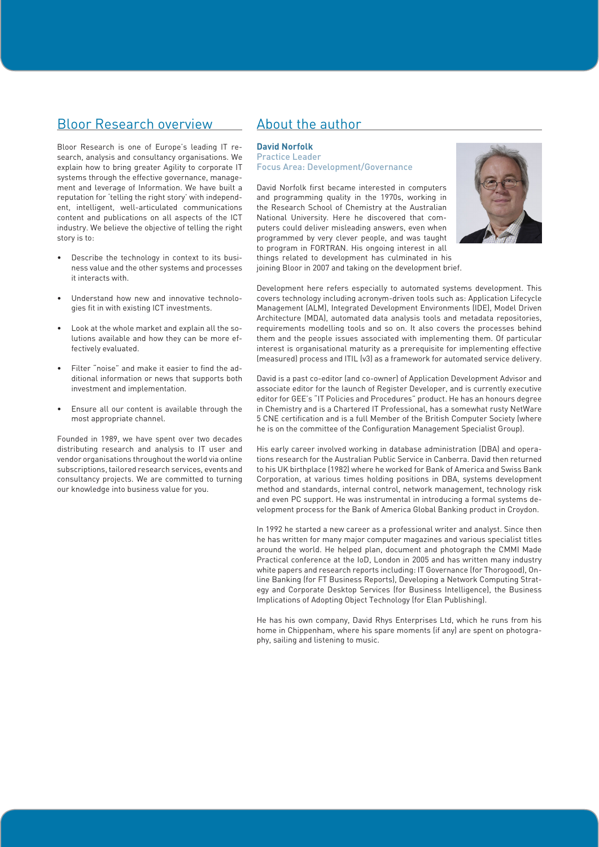# Bloor Research overview

Bloor Research is one of Europe's leading IT research, analysis and consultancy organisations. We explain how to bring greater Agility to corporate IT systems through the effective governance, management and leverage of Information. We have built a reputation for 'telling the right story' with independent, intelligent, well-articulated communications content and publications on all aspects of the ICT industry. We believe the objective of telling the right story is to:

- Describe the technology in context to its business value and the other systems and processes it interacts with.
- Understand how new and innovative technologies fit in with existing ICT investments.
- Look at the whole market and explain all the solutions available and how they can be more effectively evaluated.
- Filter "noise" and make it easier to find the additional information or news that supports both investment and implementation.
- Ensure all our content is available through the most appropriate channel.

Founded in 1989, we have spent over two decades distributing research and analysis to IT user and vendor organisations throughout the world via online subscriptions, tailored research services, events and consultancy projects. We are committed to turning our knowledge into business value for you.

# About the author

### **David Norfolk**

Practice Leader Focus Area: Development/Governance

David Norfolk first became interested in computers and programming quality in the 1970s, working in the Research School of Chemistry at the Australian National University. Here he discovered that computers could deliver misleading answers, even when programmed by very clever people, and was taught to program in FORTRAN. His ongoing interest in all things related to development has culminated in his joining Bloor in 2007 and taking on the development brief.



Development here refers especially to automated systems development. This covers technology including acronym-driven tools such as: Application Lifecycle Management (ALM), Integrated Development Environments (IDE), Model Driven Architecture (MDA), automated data analysis tools and metadata repositories, requirements modelling tools and so on. It also covers the processes behind them and the people issues associated with implementing them. Of particular interest is organisational maturity as a prerequisite for implementing effective (measured) process and ITIL (v3) as a framework for automated service delivery.

David is a past co-editor (and co-owner) of Application Development Advisor and associate editor for the launch of Register Developer, and is currently executive editor for GEE's "IT Policies and Procedures" product. He has an honours degree in Chemistry and is a Chartered IT Professional, has a somewhat rusty NetWare 5 CNE certification and is a full Member of the British Computer Society (where he is on the committee of the Configuration Management Specialist Group).

His early career involved working in database administration (DBA) and operations research for the Australian Public Service in Canberra. David then returned to his UK birthplace (1982) where he worked for Bank of America and Swiss Bank Corporation, at various times holding positions in DBA, systems development method and standards, internal control, network management, technology risk and even PC support. He was instrumental in introducing a formal systems development process for the Bank of America Global Banking product in Croydon.

In 1992 he started a new career as a professional writer and analyst. Since then he has written for many major computer magazines and various specialist titles around the world. He helped plan, document and photograph the CMMI Made Practical conference at the IoD, London in 2005 and has written many industry white papers and research reports including: IT Governance (for Thorogood), Online Banking (for FT Business Reports), Developing a Network Computing Strategy and Corporate Desktop Services (for Business Intelligence), the Business Implications of Adopting Object Technology (for Elan Publishing).

He has his own company, David Rhys Enterprises Ltd, which he runs from his home in Chippenham, where his spare moments (if any) are spent on photography, sailing and listening to music.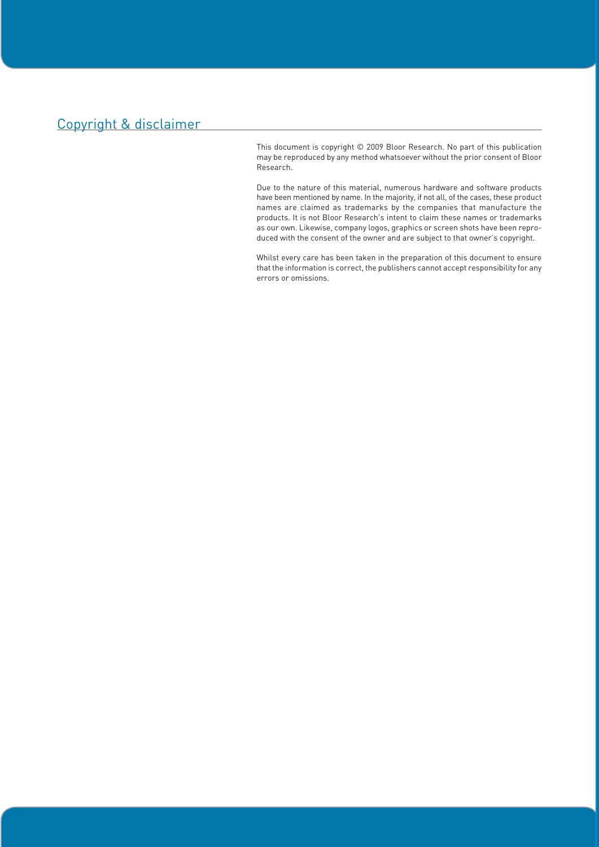# Copyright & disclaimer

This document is copyright © 2009 Bloor Research. No part of this publication may be reproduced by any method whatsoever without the prior consent of Bloor Research.

Due to the nature of this material, numerous hardware and software products have been mentioned by name. In the majority, if not all, of the cases, these product names are claimed as trademarks by the companies that manufacture the products. It is not Bloor Research's intent to claim these names or trademarks as our own. Likewise, company logos, graphics or screen shots have been reproduced with the consent of the owner and are subject to that owner's copyright.

Whilst every care has been taken in the preparation of this document to ensure that the information is correct, the publishers cannot accept responsibility for any errors or omissions.